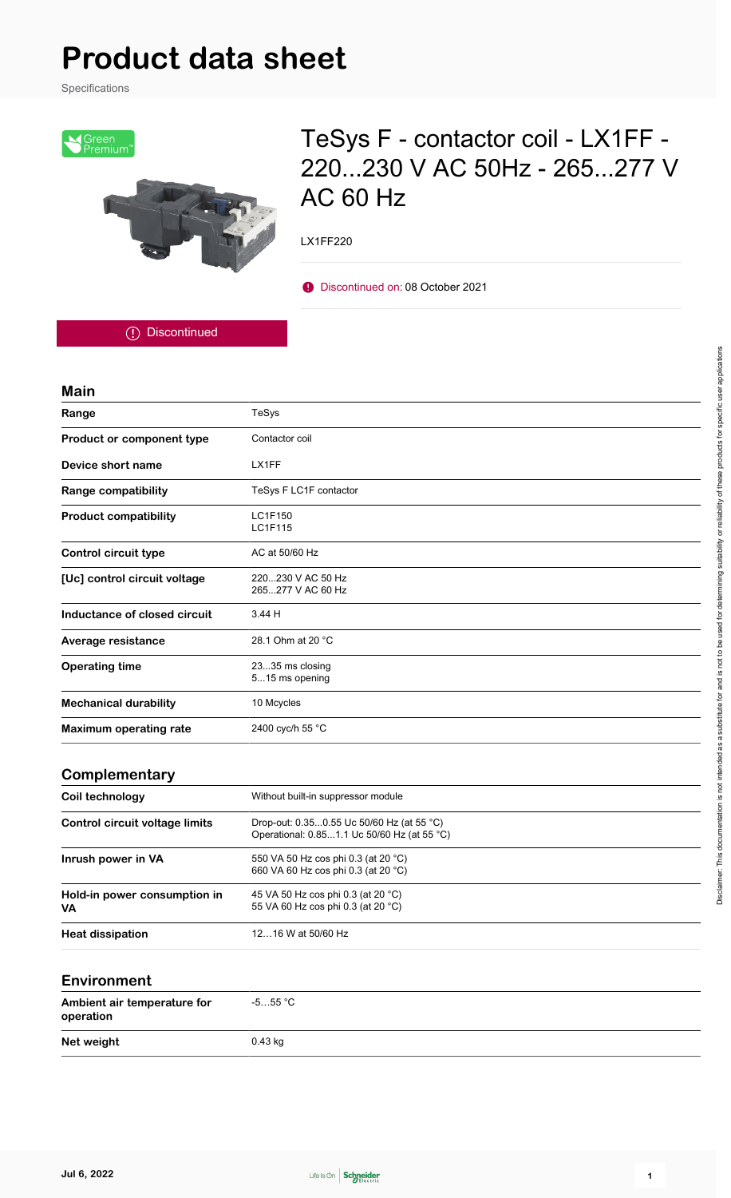# **Product data sheet**

Specifications



# TeSys F - contactor coil - LX1FF - 220...230 V AC 50Hz - 265...277 V AC 60 Hz

LX1FF220

Discontinued on: 08 October 2021

Discontinued

#### **Main**

| Range                                 | TeSys                                                                                    |
|---------------------------------------|------------------------------------------------------------------------------------------|
| Product or component type             | Contactor coil                                                                           |
| Device short name                     | LX1FF                                                                                    |
| <b>Range compatibility</b>            | TeSys F LC1F contactor                                                                   |
| <b>Product compatibility</b>          | <b>LC1F150</b><br>LC1F115                                                                |
| <b>Control circuit type</b>           | AC at 50/60 Hz                                                                           |
| [Uc] control circuit voltage          | 220230 V AC 50 Hz<br>265277 V AC 60 Hz                                                   |
| Inductance of closed circuit          | 3.44 H                                                                                   |
| Average resistance                    | 28.1 Ohm at 20 °C                                                                        |
| <b>Operating time</b>                 | 2335 ms closing<br>515 ms opening                                                        |
| <b>Mechanical durability</b>          | 10 Mcycles                                                                               |
| <b>Maximum operating rate</b>         | 2400 cyc/h 55 °C                                                                         |
| Complementary                         |                                                                                          |
| Coil technology                       | Without built-in suppressor module                                                       |
| <b>Control circuit voltage limits</b> | Drop-out: 0.350.55 Uc 50/60 Hz (at 55 °C)<br>Operational: 0.851.1 Uc 50/60 Hz (at 55 °C) |
| Inrush power in VA                    | 550 VA 50 Hz cos phi 0.3 (at 20 °C)<br>660 VA 60 Hz cos phi 0.3 (at 20 °C)               |
| Hold-in power consumption in<br>VA    | 45 VA 50 Hz cos phi 0.3 (at 20 °C)<br>55 VA 60 Hz cos phi 0.3 (at 20 °C)                 |
| <b>Heat dissipation</b>               | 1216 W at 50/60 Hz                                                                       |

#### **Environment**

| Ambient air temperature for<br>operation | -5…55 °C  |
|------------------------------------------|-----------|
| Net weight                               | $0.43$ kg |